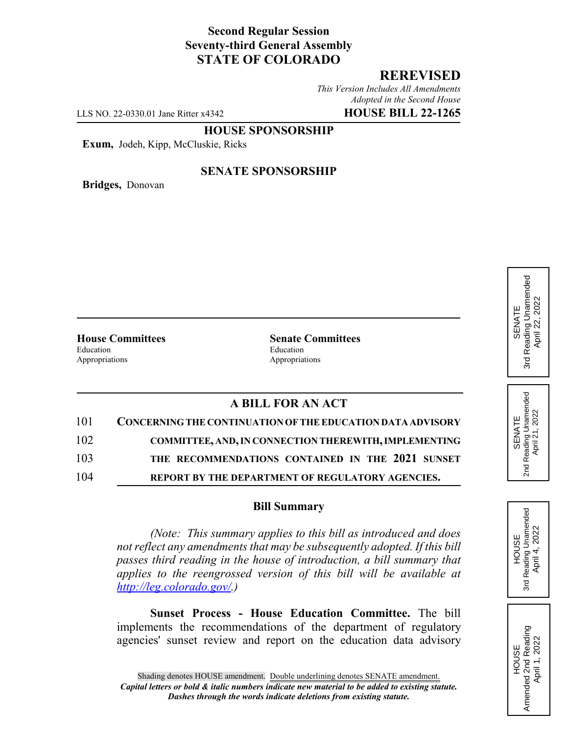# **Second Regular Session Seventy-third General Assembly STATE OF COLORADO**

## **REREVISED**

*This Version Includes All Amendments Adopted in the Second House*

LLS NO. 22-0330.01 Jane Ritter x4342 **HOUSE BILL 22-1265**

### **HOUSE SPONSORSHIP**

**Exum,** Jodeh, Kipp, McCluskie, Ricks

**Bridges,** Donovan

#### **SENATE SPONSORSHIP**

Education Education Education Appropriations Appropriations

**House Committees Senate Committees**

## **A BILL FOR AN ACT**

| 101 | <b>CONCERNING THE CONTINUATION OF THE EDUCATION DATA ADVISORY</b> |
|-----|-------------------------------------------------------------------|
| 102 | <b>COMMITTEE, AND, IN CONNECTION THEREWITH, IMPLEMENTING</b>      |
| 103 | THE RECOMMENDATIONS CONTAINED IN THE 2021 SUNSET                  |
| 104 | REPORT BY THE DEPARTMENT OF REGULATORY AGENCIES.                  |

#### **Bill Summary**

*(Note: This summary applies to this bill as introduced and does not reflect any amendments that may be subsequently adopted. If this bill passes third reading in the house of introduction, a bill summary that applies to the reengrossed version of this bill will be available at http://leg.colorado.gov/.)*

**Sunset Process - House Education Committee.** The bill implements the recommendations of the department of regulatory agencies' sunset review and report on the education data advisory

Reading Unamended 3rd Reading Unamended April 22, 2022 April 22, 2022 SENATE 3rd



3rd

2<sub>nd</sub>

SENATE 2nd Reading Unamended April 21, 2022

Reading Unamended<br>April 21, 2022

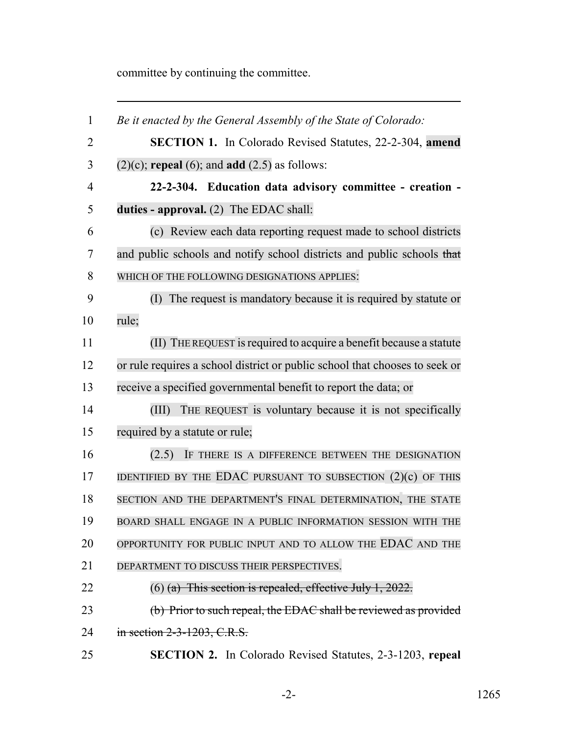committee by continuing the committee.

| $\mathbf{1}$   | Be it enacted by the General Assembly of the State of Colorado:             |
|----------------|-----------------------------------------------------------------------------|
| $\overline{2}$ | <b>SECTION 1.</b> In Colorado Revised Statutes, 22-2-304, <b>amend</b>      |
| 3              | $(2)(c)$ ; repeal $(6)$ ; and add $(2.5)$ as follows:                       |
| $\overline{4}$ | 22-2-304. Education data advisory committee - creation -                    |
| 5              | duties - approval. $(2)$ The EDAC shall:                                    |
| 6              | (c) Review each data reporting request made to school districts             |
| 7              | and public schools and notify school districts and public schools that      |
| 8              | WHICH OF THE FOLLOWING DESIGNATIONS APPLIES:                                |
| 9              | (I) The request is mandatory because it is required by statute or           |
| 10             | rule;                                                                       |
| 11             | (II) THE REQUEST is required to acquire a benefit because a statute         |
| 12             | or rule requires a school district or public school that chooses to seek or |
| 13             | receive a specified governmental benefit to report the data; or             |
| 14             | THE REQUEST is voluntary because it is not specifically<br>(III)            |
| 15             | required by a statute or rule;                                              |
| 16             | (2.5) IF THERE IS A DIFFERENCE BETWEEN THE DESIGNATION                      |
| 17             | IDENTIFIED BY THE EDAC PURSUANT TO SUBSECTION (2)(c) OF THIS                |
| 18             | SECTION AND THE DEPARTMENT'S FINAL DETERMINATION, THE STATE                 |
| 19             | BOARD SHALL ENGAGE IN A PUBLIC INFORMATION SESSION WITH THE                 |
| 20             | OPPORTUNITY FOR PUBLIC INPUT AND TO ALLOW THE EDAC AND THE                  |
| 21             | DEPARTMENT TO DISCUSS THEIR PERSPECTIVES.                                   |
| 22             | $(6)$ (a) This section is repealed, effective July 1, 2022.                 |
| 23             | (b) Prior to such repeal, the EDAC shall be reviewed as provided            |
| 24             | in section 2-3-1203, C.R.S.                                                 |
| 25             | SECTION 2. In Colorado Revised Statutes, 2-3-1203, repeal                   |